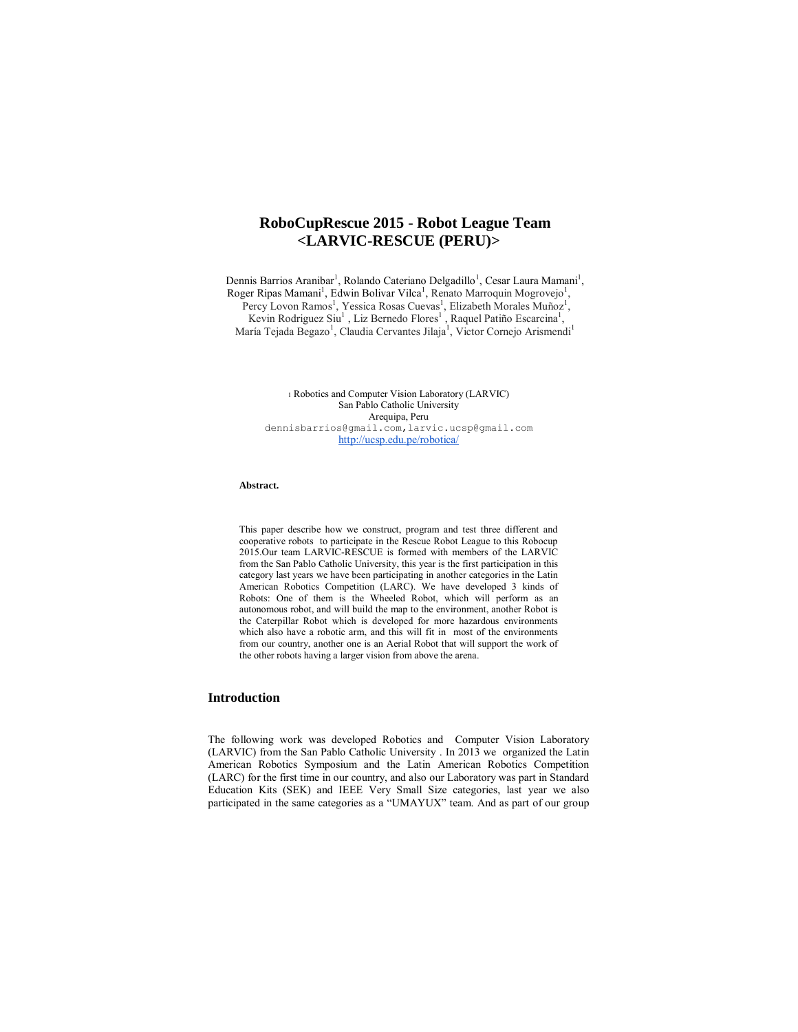# **RoboCupRescue 2015 - Robot League Team <LARVIC-RESCUE (PERU)>**

Dennis Barrios Aranibar<sup>1</sup>, Rolando Cateriano Delgadillo<sup>1</sup>, Cesar Laura Mamani<sup>1</sup>, Roger Ripas Mamani<sup>1</sup>, Edwin Bolivar Vilca<sup>1</sup>, Renato Marroquin Mogrovejo<sup>1</sup>, Percy Lovon Ramos<sup>1</sup>, Yessica Rosas Cuevas<sup>1</sup>, Elizabeth Morales Muñoz<sup>1</sup>, Kevin Rodriguez Siu<sup>1</sup>, Liz Bernedo Flores<sup>1</sup>, Raquel Patiño Escarcina<sup>1</sup>, María Tejada Begazo<sup>1</sup>, Claudia Cervantes Jilaja<sup>1</sup>, Victor Cornejo Arismendi<sup>1</sup>

> <sup>1</sup> Robotics and Computer Vision Laboratory (LARVIC) San Pablo Catholic University Arequipa, Peru dennisbarrios@gmail.com,larvic.ucsp@gmail.com http://ucsp.edu.pe/robotica/

#### **Abstract.**

This paper describe how we construct, program and test three different and cooperative robots to participate in the Rescue Robot League to this Robocup 2015.Our team LARVIC-RESCUE is formed with members of the LARVIC from the San Pablo Catholic University, this year is the first participation in this category last years we have been participating in another categories in the Latin American Robotics Competition (LARC). We have developed 3 kinds of Robots: One of them is the Wheeled Robot, which will perform as an autonomous robot, and will build the map to the environment, another Robot is the Caterpillar Robot which is developed for more hazardous environments which also have a robotic arm, and this will fit in most of the environments from our country, another one is an Aerial Robot that will support the work of the other robots having a larger vision from above the arena.

#### **Introduction**

The following work was developed Robotics and Computer Vision Laboratory (LARVIC) from the San Pablo Catholic University . In 2013 we organized the Latin American Robotics Symposium and the Latin American Robotics Competition (LARC) for the first time in our country, and also our Laboratory was part in Standard Education Kits (SEK) and IEEE Very Small Size categories, last year we also participated in the same categories as a "UMAYUX" team. And as part of our group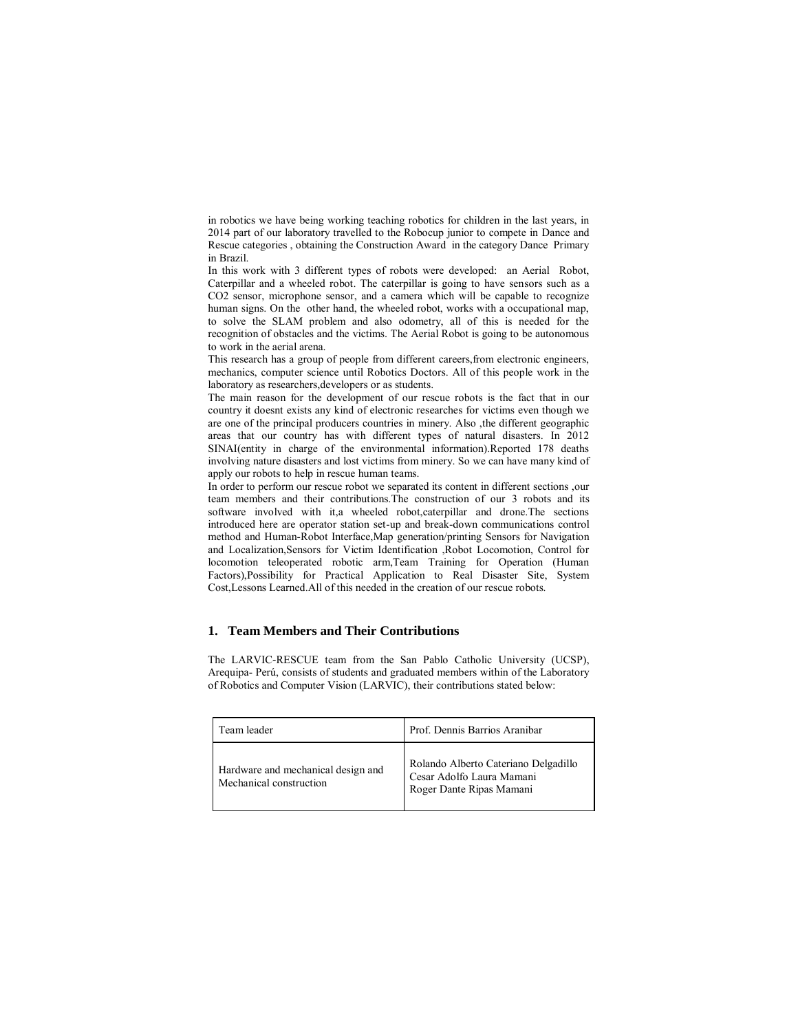in robotics we have being working teaching robotics for children in the last years, in 2014 part of our laboratory travelled to the Robocup junior to compete in Dance and Rescue categories , obtaining the Construction Award in the category Dance Primary in Brazil.

In this work with 3 different types of robots were developed: an Aerial Robot, Caterpillar and a wheeled robot. The caterpillar is going to have sensors such as a CO2 sensor, microphone sensor, and a camera which will be capable to recognize human signs. On the other hand, the wheeled robot, works with a occupational map, to solve the SLAM problem and also odometry, all of this is needed for the recognition of obstacles and the victims. The Aerial Robot is going to be autonomous to work in the aerial arena.

This research has a group of people from different careers,from electronic engineers, mechanics, computer science until Robotics Doctors. All of this people work in the laboratory as researchers,developers or as students.

The main reason for the development of our rescue robots is the fact that in our country it doesnt exists any kind of electronic researches for victims even though we are one of the principal producers countries in minery. Also ,the different geographic areas that our country has with different types of natural disasters. In 2012 SINAI(entity in charge of the environmental information).Reported 178 deaths involving nature disasters and lost victims from minery. So we can have many kind of apply our robots to help in rescue human teams.

In order to perform our rescue robot we separated its content in different sections ,our team members and their contributions.The construction of our 3 robots and its software involved with it,a wheeled robot,caterpillar and drone.The sections introduced here are operator station set-up and break-down communications control method and Human-Robot Interface,Map generation/printing Sensors for Navigation and Localization,Sensors for Victim Identification ,Robot Locomotion, Control for locomotion teleoperated robotic arm,Team Training for Operation (Human Factors),Possibility for Practical Application to Real Disaster Site, System Cost,Lessons Learned.All of this needed in the creation of our rescue robots.

## **1. Team Members and Their Contributions**

The LARVIC-RESCUE team from the San Pablo Catholic University (UCSP), Arequipa- Perú, consists of students and graduated members within of the Laboratory of Robotics and Computer Vision (LARVIC), their contributions stated below:

| Team leader                                                   | Prof. Dennis Barrios Aranibar                                                                 |
|---------------------------------------------------------------|-----------------------------------------------------------------------------------------------|
| Hardware and mechanical design and<br>Mechanical construction | Rolando Alberto Cateriano Delgadillo<br>Cesar Adolfo Laura Mamani<br>Roger Dante Ripas Mamani |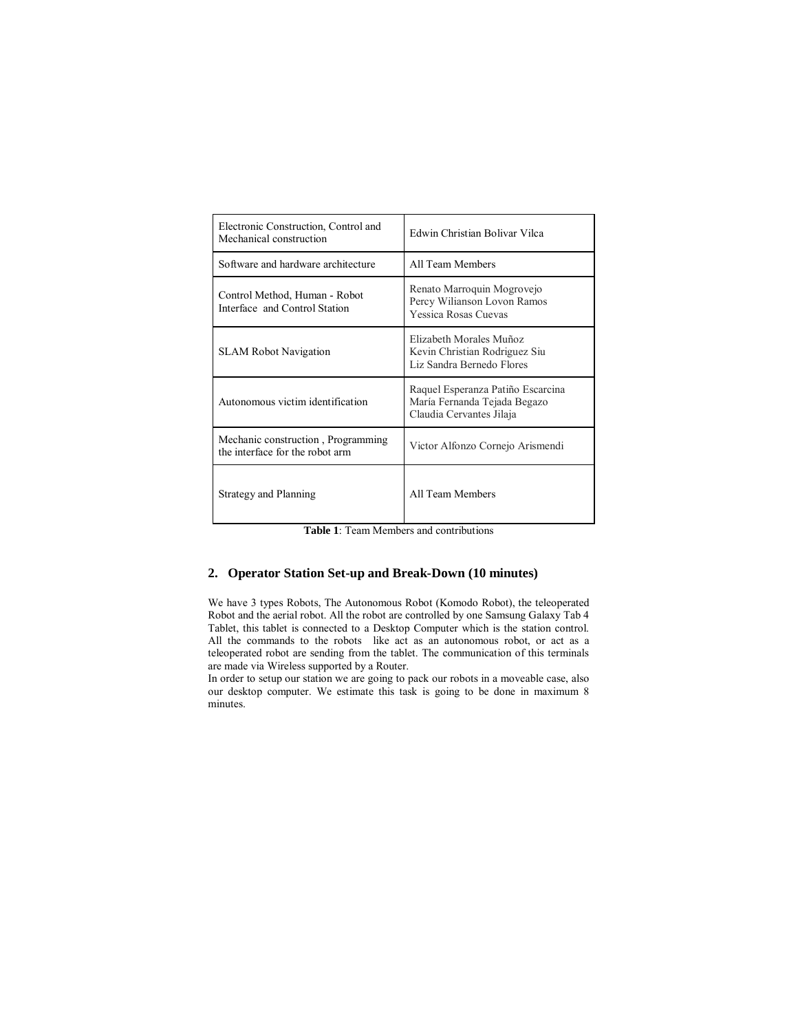| Electronic Construction, Control and<br>Mechanical construction       | Edwin Christian Bolivar Vilca                                                                 |
|-----------------------------------------------------------------------|-----------------------------------------------------------------------------------------------|
| Software and hardware architecture                                    | All Team Members                                                                              |
| Control Method, Human - Robot<br>Interface and Control Station        | Renato Marroquin Mogrovejo<br>Percy Wilianson Lovon Ramos<br>Yessica Rosas Cuevas             |
| <b>SLAM Robot Navigation</b>                                          | Elizabeth Morales Muñoz<br>Kevin Christian Rodriguez Siu<br>Liz Sandra Bernedo Flores         |
| Autonomous victim identification                                      | Raquel Esperanza Patiño Escarcina<br>María Fernanda Tejada Begazo<br>Claudia Cervantes Jilaja |
| Mechanic construction, Programming<br>the interface for the robot arm | Victor Alfonzo Cornejo Arismendi                                                              |
| Strategy and Planning                                                 | All Team Members                                                                              |

**Table 1**: Team Members and contributions

# **2. Operator Station Set-up and Break-Down (10 minutes)**

We have 3 types Robots, The Autonomous Robot (Komodo Robot), the teleoperated Robot and the aerial robot. All the robot are controlled by one Samsung Galaxy Tab 4 Tablet, this tablet is connected to a Desktop Computer which is the station control. All the commands to the robots like act as an autonomous robot, or act as a teleoperated robot are sending from the tablet. The communication of this terminals are made via Wireless supported by a Router.

In order to setup our station we are going to pack our robots in a moveable case, also our desktop computer. We estimate this task is going to be done in maximum 8 minutes.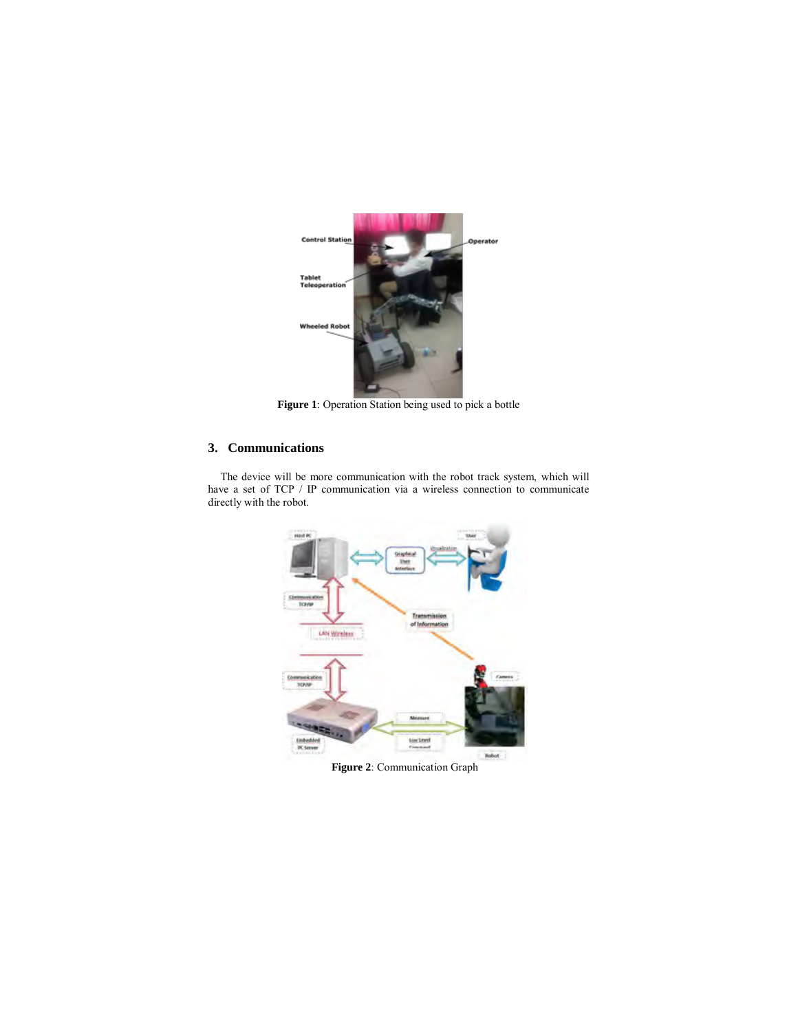

**Figure 1**: Operation Station being used to pick a bottle

# **3. Communications**

The device will be more communication with the robot track system, which will have a set of TCP / IP communication via a wireless connection to communicate directly with the robot.



**Figure 2**: Communication Graph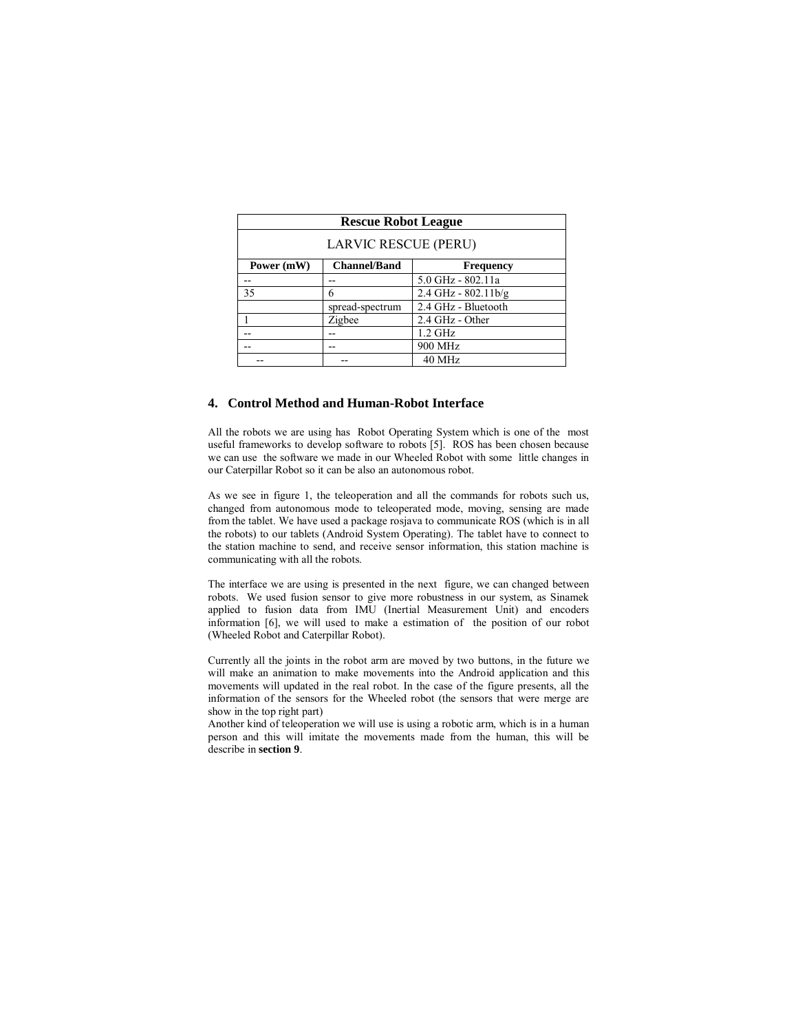| <b>Rescue Robot League</b>  |                     |                          |
|-----------------------------|---------------------|--------------------------|
| <b>LARVIC RESCUE (PERU)</b> |                     |                          |
| Power (mW)                  | <b>Channel/Band</b> | <b>Frequency</b>         |
|                             |                     | 5.0 GHz - 802.11a        |
| 35                          | 6                   | $2.4$ GHz - $802.11$ b/g |
|                             | spread-spectrum     | 2.4 GHz - Bluetooth      |
|                             | Zigbee              | 2.4 GHz - Other          |
|                             |                     | $1.2$ GHz                |
|                             |                     | 900 MHz                  |
|                             |                     | 40 MHz                   |

## **4. Control Method and Human-Robot Interface**

All the robots we are using has Robot Operating System which is one of the most useful frameworks to develop software to robots [5]. ROS has been chosen because we can use the software we made in our Wheeled Robot with some little changes in our Caterpillar Robot so it can be also an autonomous robot.

As we see in figure 1, the teleoperation and all the commands for robots such us, changed from autonomous mode to teleoperated mode, moving, sensing are made from the tablet. We have used a package rosjava to communicate ROS (which is in all the robots) to our tablets (Android System Operating). The tablet have to connect to the station machine to send, and receive sensor information, this station machine is communicating with all the robots.

The interface we are using is presented in the next figure, we can changed between robots. We used fusion sensor to give more robustness in our system, as Sinamek applied to fusion data from IMU (Inertial Measurement Unit) and encoders information [6], we will used to make a estimation of the position of our robot (Wheeled Robot and Caterpillar Robot).

Currently all the joints in the robot arm are moved by two buttons, in the future we will make an animation to make movements into the Android application and this movements will updated in the real robot. In the case of the figure presents, all the information of the sensors for the Wheeled robot (the sensors that were merge are show in the top right part)

Another kind of teleoperation we will use is using a robotic arm, which is in a human person and this will imitate the movements made from the human, this will be describe in **section 9**.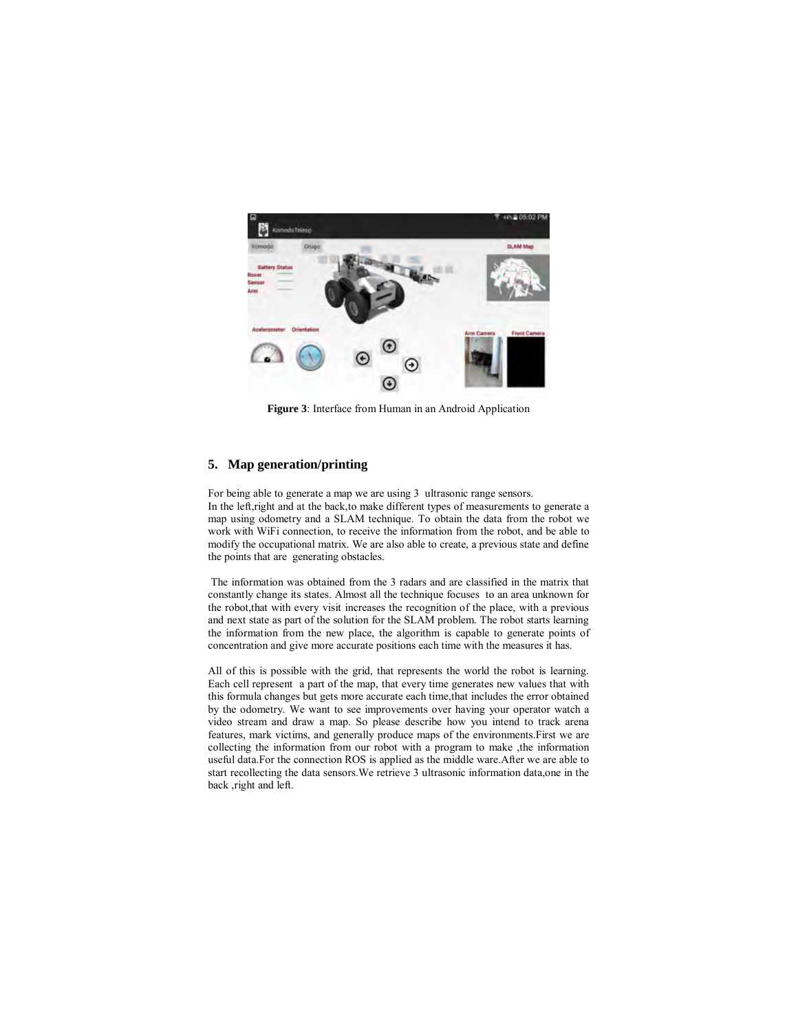

**Figure 3**: Interface from Human in an Android Application

## **5. Map generation/printing**

For being able to generate a map we are using 3 ultrasonic range sensors. In the left,right and at the back,to make different types of measurements to generate a map using odometry and a SLAM technique. To obtain the data from the robot we work with WiFi connection, to receive the information from the robot, and be able to modify the occupational matrix. We are also able to create, a previous state and define the points that are generating obstacles.

The information was obtained from the 3 radars and are classified in the matrix that constantly change its states. Almost all the technique focuses to an area unknown for the robot,that with every visit increases the recognition of the place, with a previous and next state as part of the solution for the SLAM problem. The robot starts learning the information from the new place, the algorithm is capable to generate points of concentration and give more accurate positions each time with the measures it has.

All of this is possible with the grid, that represents the world the robot is learning. Each cell represent a part of the map, that every time generates new values that with this formula changes but gets more accurate each time,that includes the error obtained by the odometry. We want to see improvements over having your operator watch a video stream and draw a map. So please describe how you intend to track arena features, mark victims, and generally produce maps of the environments.First we are collecting the information from our robot with a program to make ,the information useful data.For the connection ROS is applied as the middle ware.After we are able to start recollecting the data sensors.We retrieve 3 ultrasonic information data,one in the back ,right and left.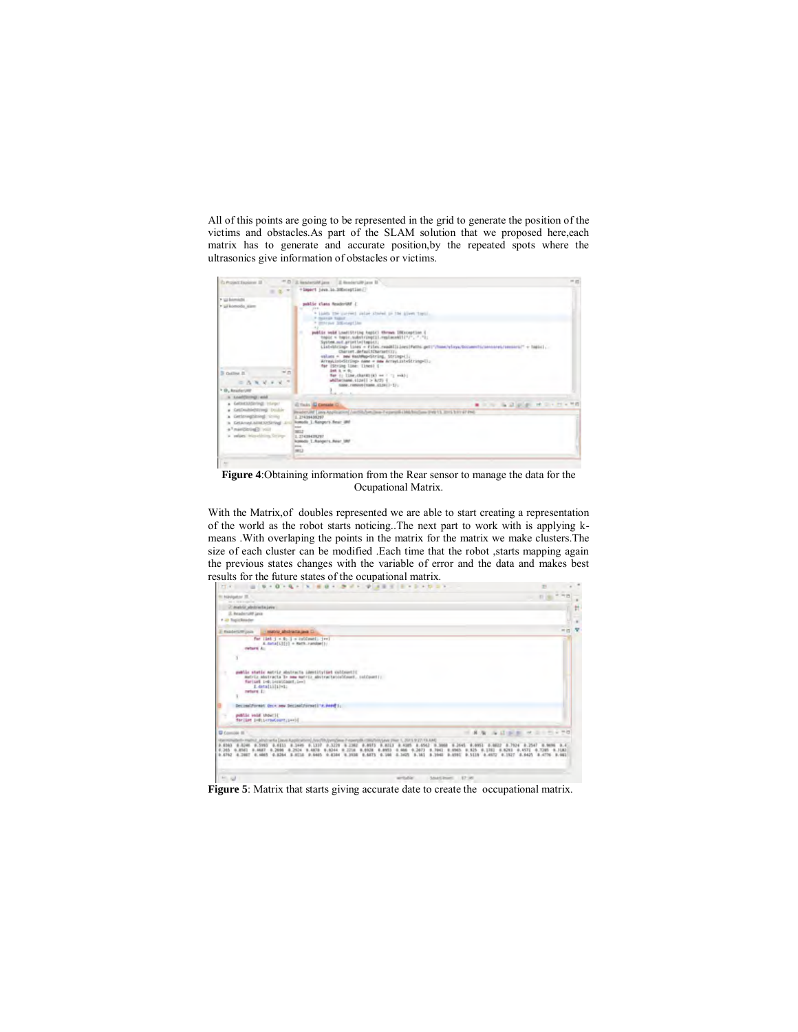All of this points are going to be represented in the grid to generate the position of the victims and obstacles.As part of the SLAM solution that we proposed here,each matrix has to generate and accurate position,by the repeated spots where the ultrasonics give information of obstacles or victims.

| C Protect Explorer 37                                                                                                          |         | ** D. U. kesherolif java  2) RendertsR java 11                                                                                                                                                                                                                                                                                                                                                                                                                                                                                                                                                                                                                                      | --              |
|--------------------------------------------------------------------------------------------------------------------------------|---------|-------------------------------------------------------------------------------------------------------------------------------------------------------------------------------------------------------------------------------------------------------------------------------------------------------------------------------------------------------------------------------------------------------------------------------------------------------------------------------------------------------------------------------------------------------------------------------------------------------------------------------------------------------------------------------------|-----------------|
|                                                                                                                                | $= 1 +$ | +1mport (Java. 10.30Exception)                                                                                                                                                                                                                                                                                                                                                                                                                                                                                                                                                                                                                                                      |                 |
| 7 GLEANWATE<br>· Li komoda, alam<br>3 Gallina II.<br>$= \Delta \times \lambda + \lambda^{-1}$                                  | $N$ $n$ | public class ReaderUM (<br>$-14.4$<br>* light the current value stated in the kiwes topic.<br>F General Folker<br>* margar 100-text lies<br>$-100 - 100$<br>public vold Load(String topic) throws (Mixception)<br>٠<br>topic = topic.substring(il.replace≪")", ".");<br>System.cut.arteitectusis.co.<br>Liabelining» (1996 + Film) read(Illing)Path) art) (Tome/elsys/bocaseti/intense)/semisri/" +<br>Charaet.defaultCharaetCCr.<br>values = new HashRep-Skring, Shring+Liz<br>ArrayList=String> name = naw ArrayList=String=U;;<br>for (Shring Line: Ilmes) {<br>246.5.76<br>Ter () Iller, charm (a) on ( ) mail;<br>Milletismi.clasti > k/2) {<br>name, rimountiname, 412411-11; |                 |
| <sup>1</sup> D. kniferint<br>a Load(Group) and<br>a Gebenstehnung Integer                                                      |         | <b>SALES</b>                                                                                                                                                                                                                                                                                                                                                                                                                                                                                                                                                                                                                                                                        |                 |
| a CatCoultdeNives Double<br>a Genevaporane critic<br>a Crianas attendance in<br>tion Gardblan Fa<br>values interesting ferrow- |         | all Tools (C) gameate (C)<br>Brader Off Laws Anglication Control Ave. Sea. Facercoll (Michael and Park U.S. 2003) For 47 Ped.<br>1.21434456767<br>komolis 1. Nangers Rear 200<br><b>SEC</b><br>senz<br>1.23439439297<br><b>Nomidii: 1. Ranger's Aleir 180</b><br>in car<br><b>NG</b><br>--                                                                                                                                                                                                                                                                                                                                                                                          | ■ 中国 海道新興 计二十一号 |

**Figure 4**:Obtaining information from the Rear sensor to manage the data for the Ocupational Matrix.

With the Matrix,of doubles represented we are able to start creating a representation of the world as the robot starts noticing..The next part to work with is applying kmeans .With overlaping the points in the matrix for the matrix we make clusters.The size of each cluster can be modified .Each time that the robot ,starts mapping again the previous states changes with the variable of error and the data and makes best results for the future states of the ocupational matrix.



Figure 5: Matrix that starts giving accurate date to create the occupational matrix.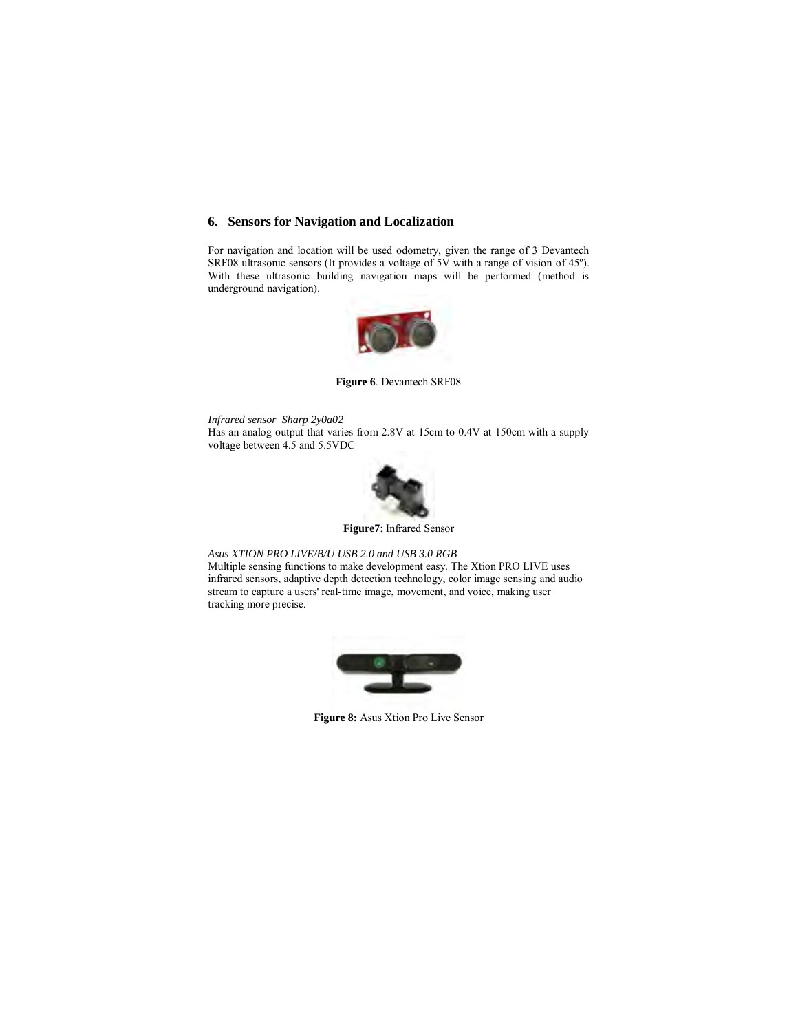# **6. Sensors for Navigation and Localization**

For navigation and location will be used odometry, given the range of 3 Devantech SRF08 ultrasonic sensors (It provides a voltage of 5V with a range of vision of 45º). With these ultrasonic building navigation maps will be performed (method is underground navigation).



**Figure 6**. Devantech SRF08

*Infrared sensor Sharp 2y0a02* Has an analog output that varies from 2.8V at 15cm to 0.4V at 150cm with a supply voltage between 4.5 and 5.5VDC



**Figure7**: Infrared Sensor

#### *Asus XTION PRO LIVE/B/U USB 2.0 and USB 3.0 RGB*

Multiple sensing functions to make development easy. The Xtion PRO LIVE uses infrared sensors, adaptive depth detection technology, color image sensing and audio stream to capture a users' real-time image, movement, and voice, making user tracking more precise.



**Figure 8:** Asus Xtion Pro Live Sensor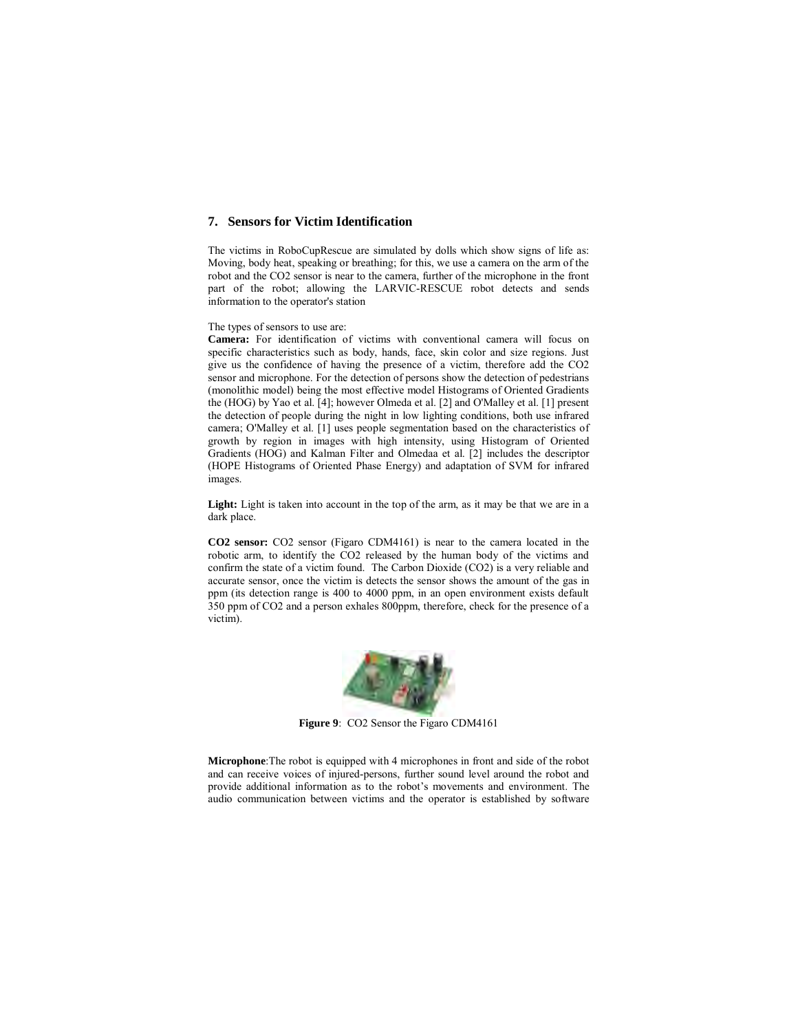## **7. Sensors for Victim Identification**

The victims in RoboCupRescue are simulated by dolls which show signs of life as: Moving, body heat, speaking or breathing; for this, we use a camera on the arm of the robot and the CO2 sensor is near to the camera, further of the microphone in the front part of the robot; allowing the LARVIC-RESCUE robot detects and sends information to the operator's station

The types of sensors to use are:

**Camera:** For identification of victims with conventional camera will focus on specific characteristics such as body, hands, face, skin color and size regions. Just give us the confidence of having the presence of a victim, therefore add the CO2 sensor and microphone. For the detection of persons show the detection of pedestrians (monolithic model) being the most effective model Histograms of Oriented Gradients the (HOG) by Yao et al. [4]; however Olmeda et al. [2] and O'Malley et al. [1] present the detection of people during the night in low lighting conditions, both use infrared camera; O'Malley et al. [1] uses people segmentation based on the characteristics of growth by region in images with high intensity, using Histogram of Oriented Gradients (HOG) and Kalman Filter and Olmedaa et al. [2] includes the descriptor (HOPE Histograms of Oriented Phase Energy) and adaptation of SVM for infrared images.

Light: Light is taken into account in the top of the arm, as it may be that we are in a dark place.

**CO2 sensor:** CO2 sensor (Figaro CDM4161) is near to the camera located in the robotic arm, to identify the CO2 released by the human body of the victims and confirm the state of a victim found. The Carbon Dioxide (CO2) is a very reliable and accurate sensor, once the victim is detects the sensor shows the amount of the gas in ppm (its detection range is 400 to 4000 ppm, in an open environment exists default 350 ppm of CO2 and a person exhales 800ppm, therefore, check for the presence of a victim).



**Figure 9**: CO2 Sensor the Figaro CDM4161

**Microphone**:The robot is equipped with 4 microphones in front and side of the robot and can receive voices of injured-persons, further sound level around the robot and provide additional information as to the robot's movements and environment. The audio communication between victims and the operator is established by software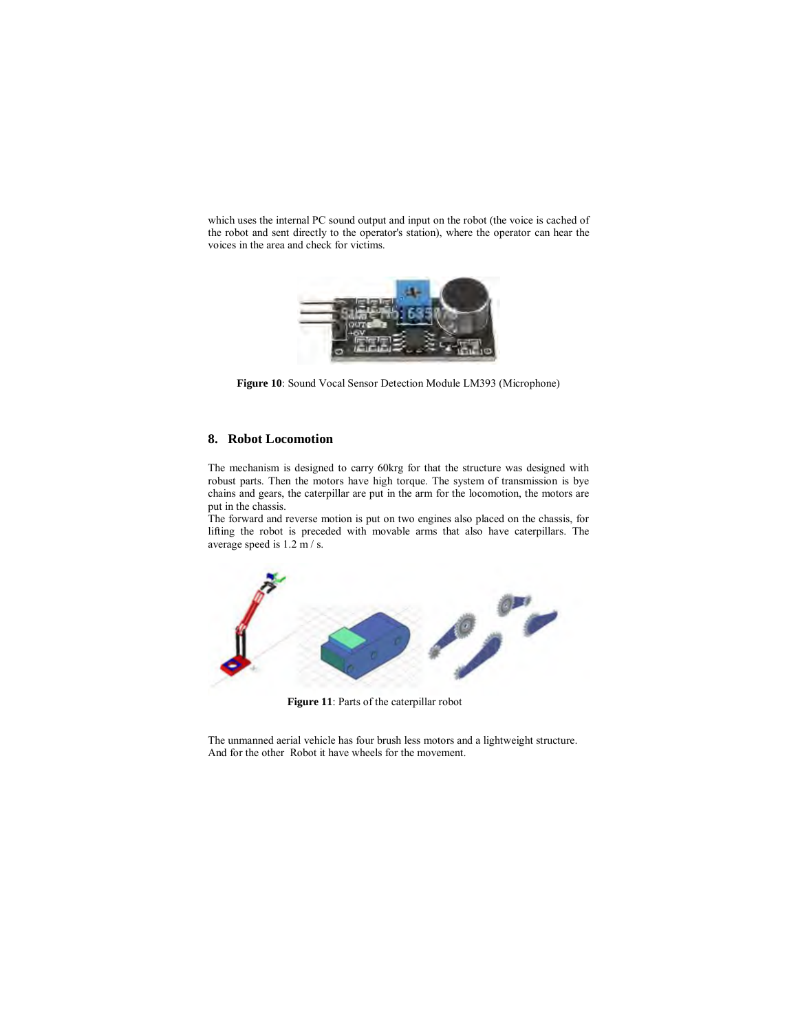which uses the internal PC sound output and input on the robot (the voice is cached of the robot and sent directly to the operator's station), where the operator can hear the voices in the area and check for victims.



**Figure 10**: Sound Vocal Sensor Detection Module LM393 (Microphone)

#### **8. Robot Locomotion**

The mechanism is designed to carry 60krg for that the structure was designed with robust parts. Then the motors have high torque. The system of transmission is bye chains and gears, the caterpillar are put in the arm for the locomotion, the motors are put in the chassis.

The forward and reverse motion is put on two engines also placed on the chassis, for lifting the robot is preceded with movable arms that also have caterpillars. The average speed is 1.2 m / s.



**Figure 11**: Parts of the caterpillar robot

The unmanned aerial vehicle has four brush less motors and a lightweight structure. And for the other Robot it have wheels for the movement.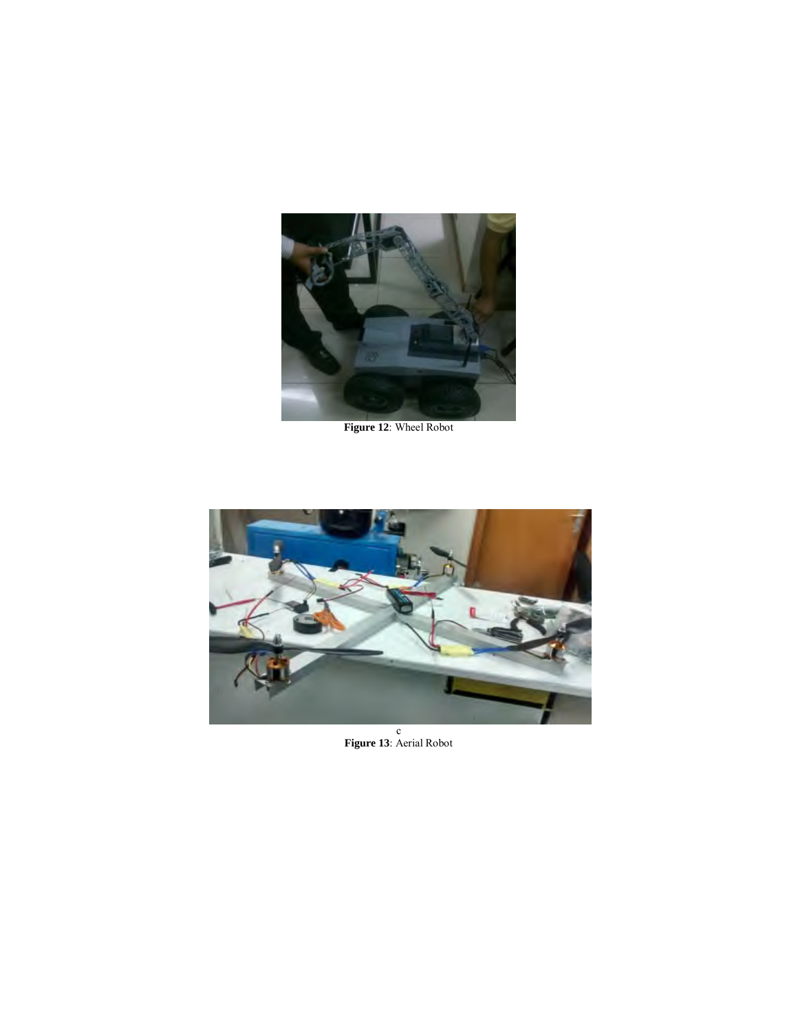

**Figure 12**: Wheel Robot



c **Figure 13**: Aerial Robot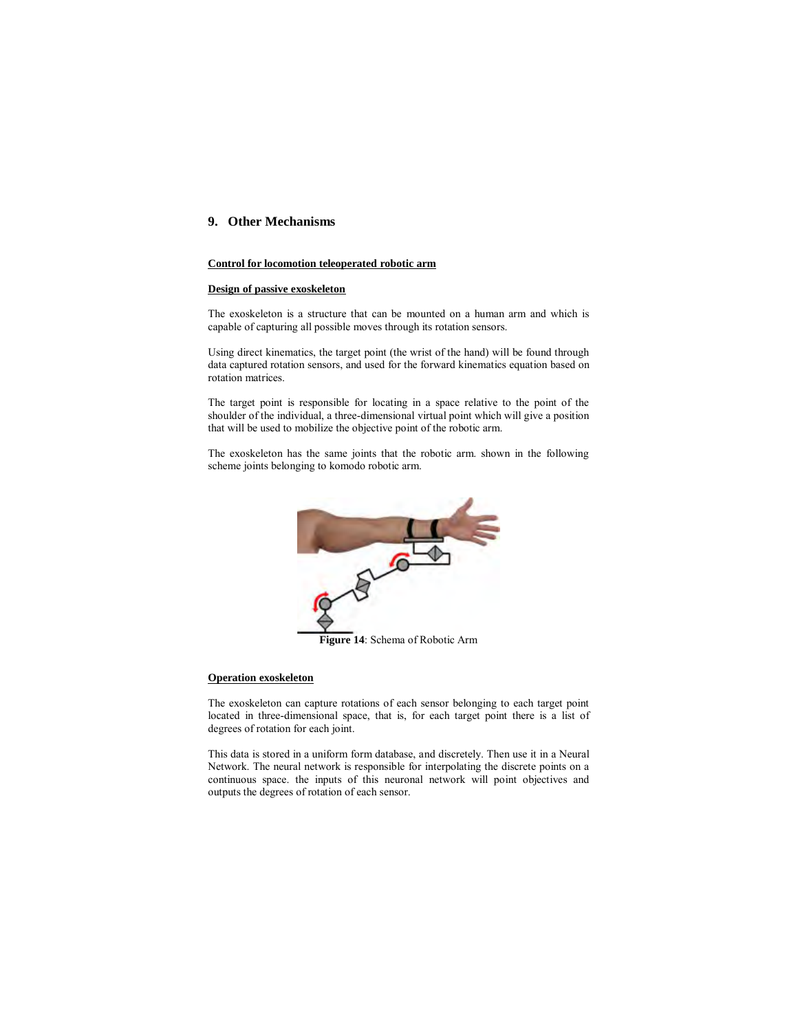## **9. Other Mechanisms**

### **Control for locomotion teleoperated robotic arm**

#### **Design of passive exoskeleton**

The exoskeleton is a structure that can be mounted on a human arm and which is capable of capturing all possible moves through its rotation sensors.

Using direct kinematics, the target point (the wrist of the hand) will be found through data captured rotation sensors, and used for the forward kinematics equation based on rotation matrices.

The target point is responsible for locating in a space relative to the point of the shoulder of the individual, a three-dimensional virtual point which will give a position that will be used to mobilize the objective point of the robotic arm.

The exoskeleton has the same joints that the robotic arm. shown in the following scheme joints belonging to komodo robotic arm.



#### **Operation exoskeleton**

The exoskeleton can capture rotations of each sensor belonging to each target point located in three-dimensional space, that is, for each target point there is a list of degrees of rotation for each joint.

This data is stored in a uniform form database, and discretely. Then use it in a Neural Network. The neural network is responsible for interpolating the discrete points on a continuous space. the inputs of this neuronal network will point objectives and outputs the degrees of rotation of each sensor.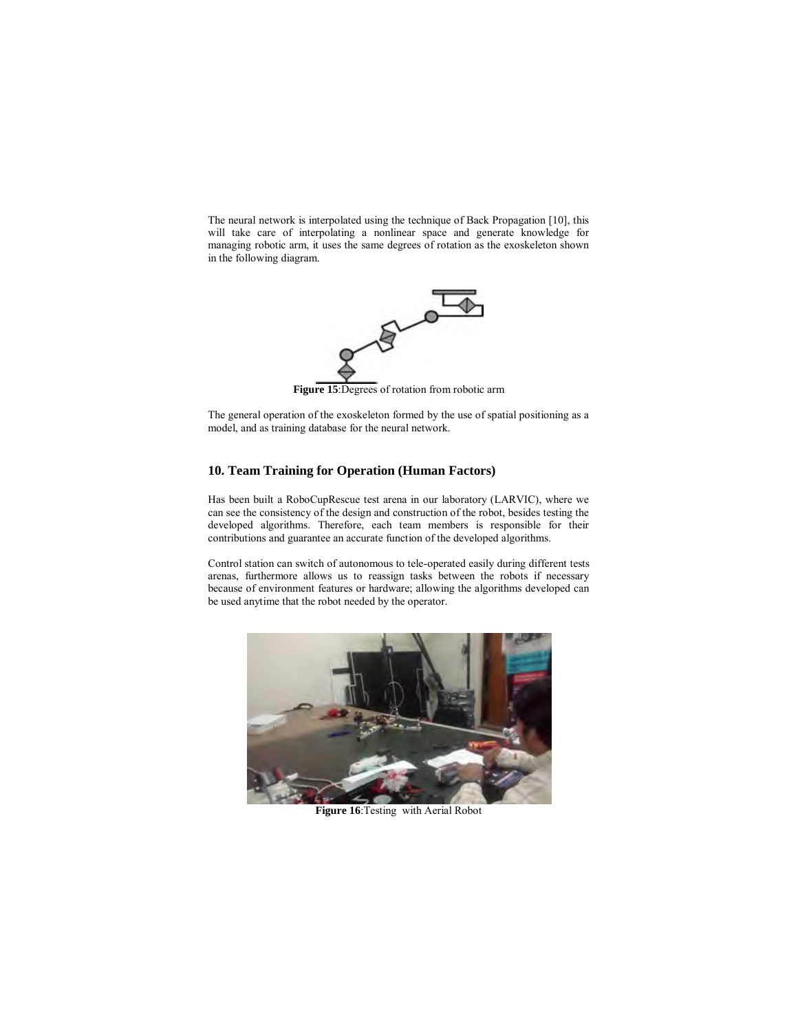The neural network is interpolated using the technique of Back Propagation [10], this will take care of interpolating a nonlinear space and generate knowledge for managing robotic arm, it uses the same degrees of rotation as the exoskeleton shown in the following diagram.



**Figure 15**:Degrees of rotation from robotic arm

The general operation of the exoskeleton formed by the use of spatial positioning as a model, and as training database for the neural network.

## **10. Team Training for Operation (Human Factors)**

Has been built a RoboCupRescue test arena in our laboratory (LARVIC), where we can see the consistency of the design and construction of the robot, besides testing the developed algorithms. Therefore, each team members is responsible for their contributions and guarantee an accurate function of the developed algorithms.

Control station can switch of autonomous to tele-operated easily during different tests arenas, furthermore allows us to reassign tasks between the robots if necessary because of environment features or hardware; allowing the algorithms developed can be used anytime that the robot needed by the operator.



**Figure 16**:Testing with Aerial Robot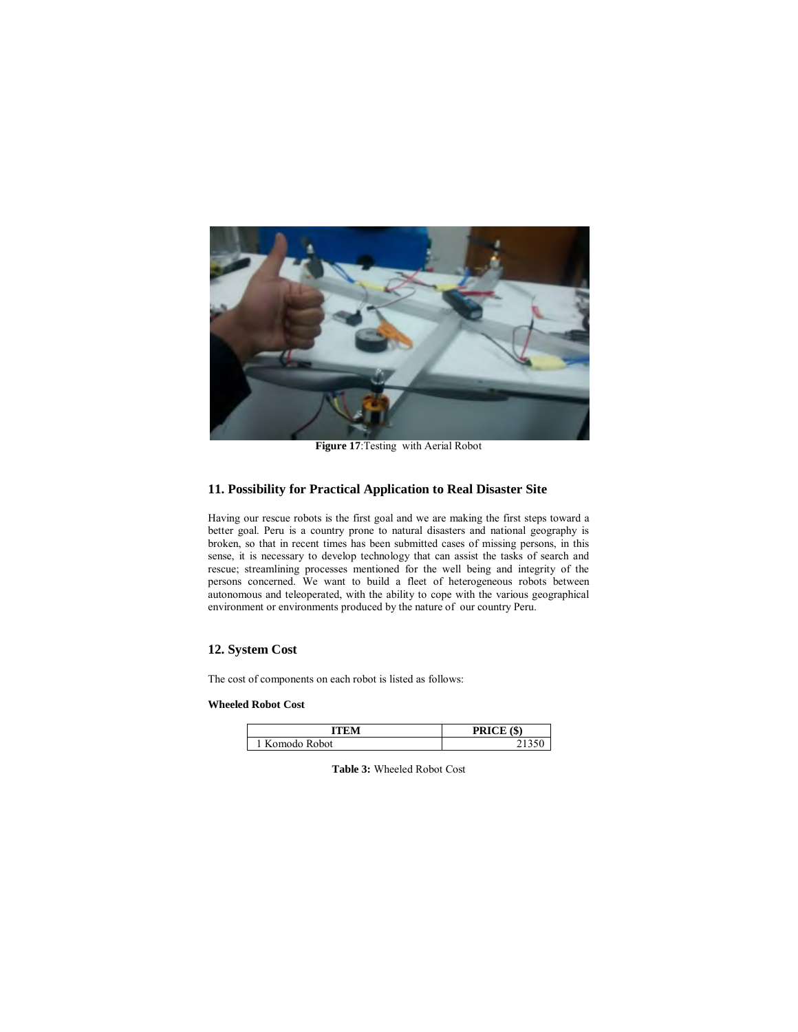

**Figure 17**:Testing with Aerial Robot

## **11. Possibility for Practical Application to Real Disaster Site**

Having our rescue robots is the first goal and we are making the first steps toward a better goal. Peru is a country prone to natural disasters and national geography is broken, so that in recent times has been submitted cases of missing persons, in this sense, it is necessary to develop technology that can assist the tasks of search and rescue; streamlining processes mentioned for the well being and integrity of the persons concerned. We want to build a fleet of heterogeneous robots between autonomous and teleoperated, with the ability to cope with the various geographical environment or environments produced by the nature of our country Peru.

## **12. System Cost**

The cost of components on each robot is listed as follows:

### **Wheeled Robot Cost**

| ітем         | PRICE (\$) |
|--------------|------------|
| Komodo Robot |            |

**Table 3:** Wheeled Robot Cost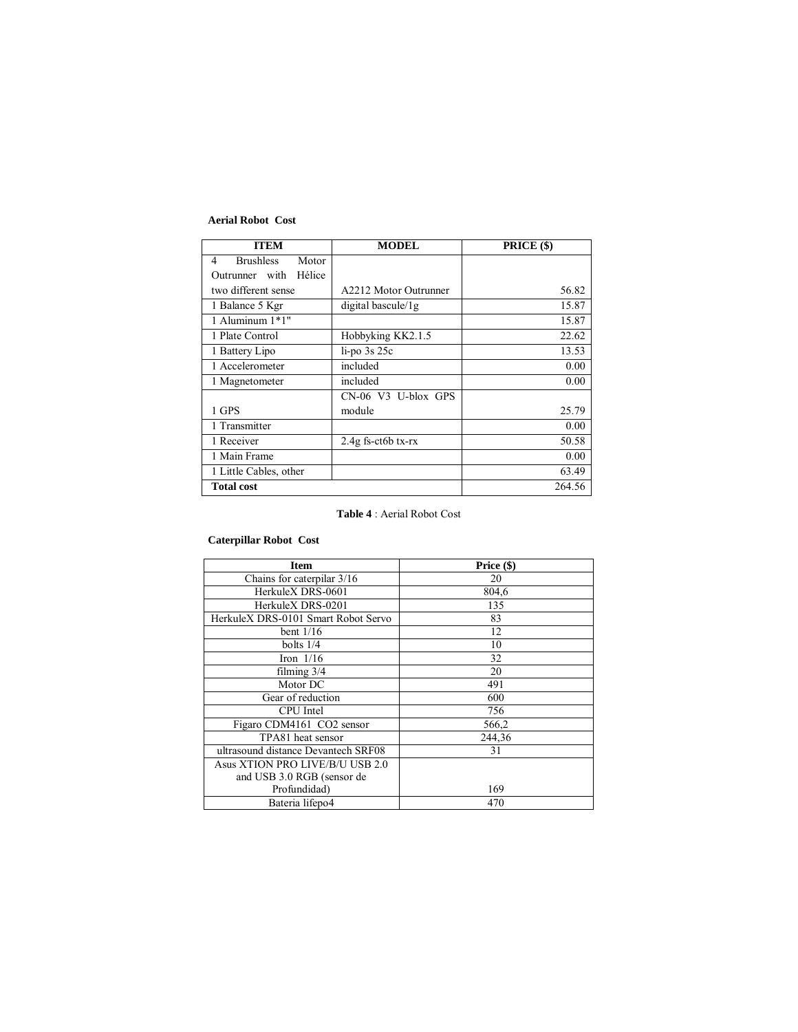## **Aerial Robot Cost**

| <b>ITEM</b>                    | <b>MODEL</b>                      | PRICE (\$) |
|--------------------------------|-----------------------------------|------------|
| <b>Brushless</b><br>Motor<br>4 |                                   |            |
| Hélice<br>Outrunner with       |                                   |            |
| two different sense            | A2212 Motor Outrunner             | 56.82      |
| 1 Balance 5 Kgr                | digital bascule/1g                | 15.87      |
| 1 Aluminum 1*1"                |                                   | 15.87      |
| 1 Plate Control                | Hobbyking KK2.1.5                 | 22.62      |
| 1 Battery Lipo                 | $li$ -po $3s$ $25c$               | 13.53      |
| 1 Accelerometer                | included                          | 0.00       |
| 1 Magnetometer                 | included                          | 0.00       |
|                                | CN-06 V3 U-blox GPS               |            |
| 1 GPS                          | module                            | 25.79      |
| 1 Transmitter                  |                                   | 0.00       |
| 1 Receiver                     | $2.4g$ fs-ct <sub>6</sub> b tx-rx | 50.58      |
| 1 Main Frame                   |                                   | 0.00       |
| 1 Little Cables, other         |                                   | 63.49      |
| <b>Total cost</b>              |                                   | 264.56     |

# **Table 4** : Aerial Robot Cost

# **Caterpillar Robot Cost**

| <b>Item</b>                         | Price (\$) |
|-------------------------------------|------------|
| Chains for caterpilar 3/16          | 20         |
| HerkuleX DRS-0601                   | 804,6      |
| HerkuleX DRS-0201                   | 135        |
| HerkuleX DRS-0101 Smart Robot Servo | 83         |
| bent $1/16$                         | 12         |
| bolts $1/4$                         | 10         |
| Iron $1/16$                         | 32         |
| filming $3/4$                       | 20         |
| Motor DC                            | 491        |
| Gear of reduction                   | 600        |
| CPU Intel                           | 756        |
| Figaro CDM4161 CO2 sensor           | 566,2      |
| TPA81 heat sensor                   | 244,36     |
| ultrasound distance Devantech SRF08 | 31         |
| Asus XTION PRO LIVE/B/U USB 2.0     |            |
| and USB 3.0 RGB (sensor de          |            |
| Profundidad)                        | 169        |
| Bateria lifepo4                     | 470        |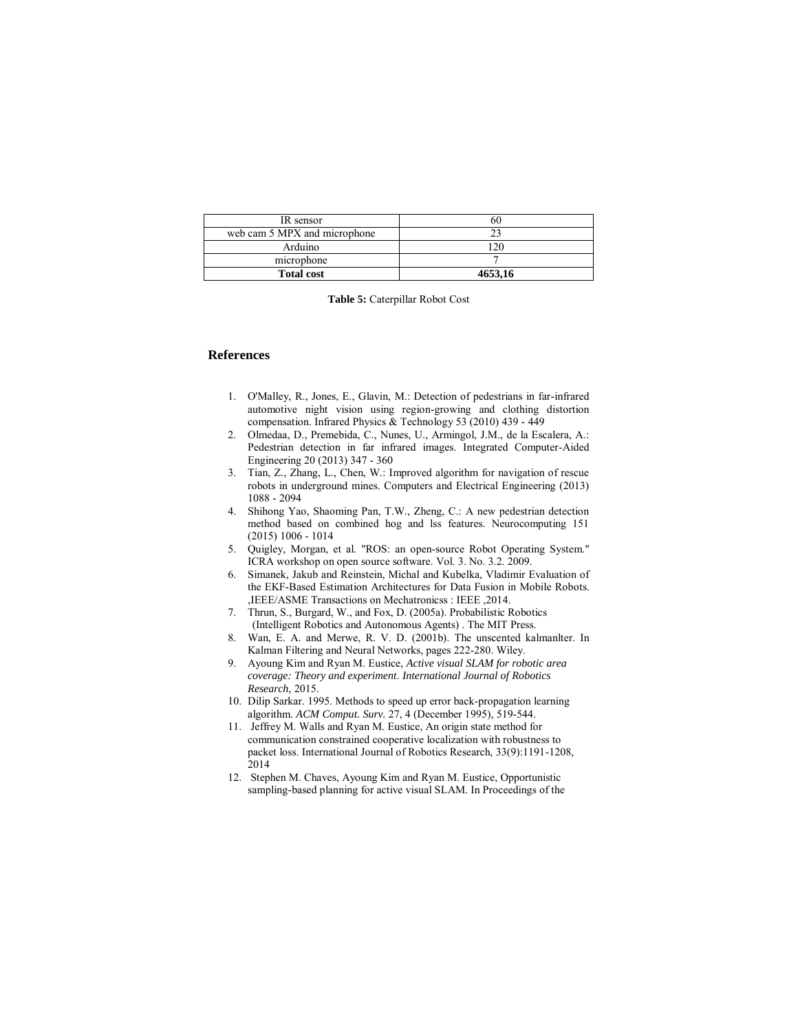| IR sensor                    |         |
|------------------------------|---------|
| web cam 5 MPX and microphone |         |
| Arduino                      | 2٢،     |
| microphone                   |         |
| <b>Total cost</b>            | 4653.16 |

**Table 5:** Caterpillar Robot Cost

## **References**

- 1. O'Malley, R., Jones, E., Glavin, M.: Detection of pedestrians in far-infrared automotive night vision using region-growing and clothing distortion compensation. Infrared Physics & Technology 53 (2010) 439 - 449
- 2. Olmedaa, D., Premebida, C., Nunes, U., Armingol, J.M., de la Escalera, A.: Pedestrian detection in far infrared images. Integrated Computer-Aided Engineering 20 (2013) 347 - 360
- 3. Tian, Z., Zhang, L., Chen, W.: Improved algorithm for navigation of rescue robots in underground mines. Computers and Electrical Engineering (2013) 1088 - 2094
- 4. Shihong Yao, Shaoming Pan, T.W., Zheng, C.: A new pedestrian detection method based on combined hog and lss features. Neurocomputing 151 (2015) 1006 - 1014
- 5. Quigley, Morgan, et al. "ROS: an open-source Robot Operating System." ICRA workshop on open source software. Vol. 3. No. 3.2. 2009.
- 6. Simanek, Jakub and Reinstein, Michal and Kubelka, Vladimir Evaluation of the EKF-Based Estimation Architectures for Data Fusion in Mobile Robots. ,IEEE/ASME Transactions on Mechatronicss : IEEE ,2014.
- 7. Thrun, S., Burgard, W., and Fox, D. (2005a). Probabilistic Robotics (Intelligent Robotics and Autonomous Agents) . The MIT Press.
- 8. Wan, E. A. and Merwe, R. V. D. (2001b). The unscented kalmanlter. In Kalman Filtering and Neural Networks, pages 222-280. Wiley.
- 9. Ayoung Kim and Ryan M. Eustice, *Active visual SLAM for robotic area coverage: Theory and experiment*. *International Journal of Robotics Research*, 2015.
- 10. Dilip Sarkar. 1995. Methods to speed up error back-propagation learning algorithm. *ACM Comput. Surv.* 27, 4 (December 1995), 519-544.
- 11. Jeffrey M. Walls and Ryan M. Eustice, An origin state method for communication constrained cooperative localization with robustness to packet loss. International Journal of Robotics Research, 33(9):1191-1208, 2014
- 12. Stephen M. Chaves, Ayoung Kim and Ryan M. Eustice, Opportunistic sampling-based planning for active visual SLAM. In Proceedings of the